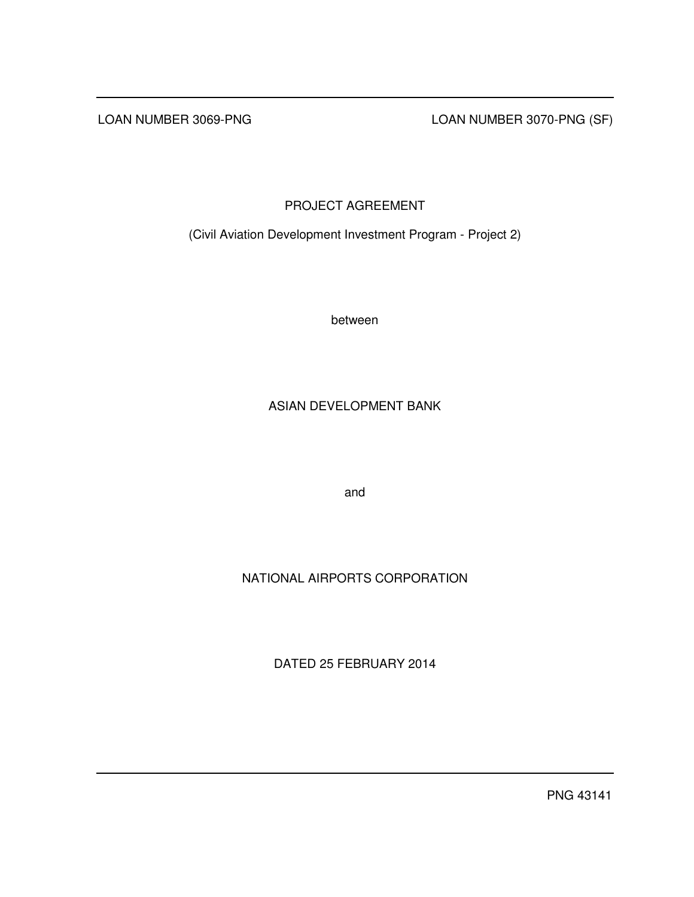LOAN NUMBER 3069-PNG LOAN NUMBER 3070-PNG (SF)

# PROJECT AGREEMENT

(Civil Aviation Development Investment Program - Project 2)

between

# ASIAN DEVELOPMENT BANK

and

# NATIONAL AIRPORTS CORPORATION

DATED 25 FEBRUARY 2014

PNG 43141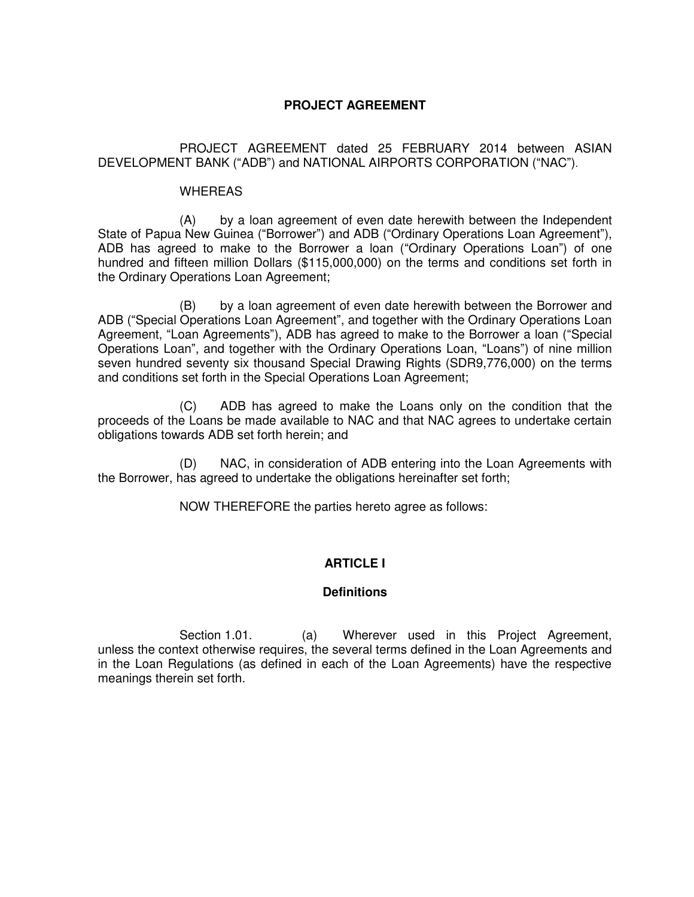## **PROJECT AGREEMENT**

 PROJECT AGREEMENT dated 25 FEBRUARY 2014 between ASIAN DEVELOPMENT BANK ("ADB") and NATIONAL AIRPORTS CORPORATION ("NAC").

### **WHEREAS**

 (A) by a loan agreement of even date herewith between the Independent State of Papua New Guinea ("Borrower") and ADB ("Ordinary Operations Loan Agreement"), ADB has agreed to make to the Borrower a loan ("Ordinary Operations Loan") of one hundred and fifteen million Dollars (\$115,000,000) on the terms and conditions set forth in the Ordinary Operations Loan Agreement;

 (B) by a loan agreement of even date herewith between the Borrower and ADB ("Special Operations Loan Agreement", and together with the Ordinary Operations Loan Agreement, "Loan Agreements"), ADB has agreed to make to the Borrower a loan ("Special Operations Loan", and together with the Ordinary Operations Loan, "Loans") of nine million seven hundred seventy six thousand Special Drawing Rights (SDR9,776,000) on the terms and conditions set forth in the Special Operations Loan Agreement;

 (C) ADB has agreed to make the Loans only on the condition that the proceeds of the Loans be made available to NAC and that NAC agrees to undertake certain obligations towards ADB set forth herein; and

(D) NAC, in consideration of ADB entering into the Loan Agreements with the Borrower, has agreed to undertake the obligations hereinafter set forth;

NOW THEREFORE the parties hereto agree as follows:

## **ARTICLE I**

### **Definitions**

Section 1.01. (a) Wherever used in this Project Agreement, unless the context otherwise requires, the several terms defined in the Loan Agreements and in the Loan Regulations (as defined in each of the Loan Agreements) have the respective meanings therein set forth.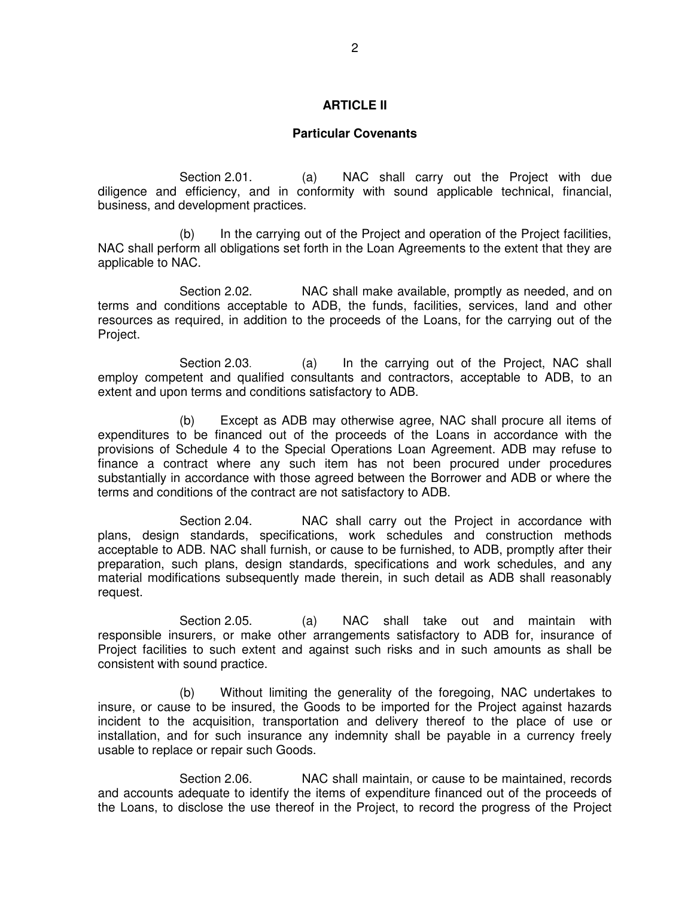### **ARTICLE II**

#### **Particular Covenants**

Section 2.01. (a) NAC shall carry out the Project with due diligence and efficiency, and in conformity with sound applicable technical, financial, business, and development practices.

 (b) In the carrying out of the Project and operation of the Project facilities, NAC shall perform all obligations set forth in the Loan Agreements to the extent that they are applicable to NAC.

Section 2.02. NAC shall make available, promptly as needed, and on terms and conditions acceptable to ADB, the funds, facilities, services, land and other resources as required, in addition to the proceeds of the Loans, for the carrying out of the Project.

 Section 2.03. (a) In the carrying out of the Project, NAC shall employ competent and qualified consultants and contractors, acceptable to ADB, to an extent and upon terms and conditions satisfactory to ADB.

 (b) Except as ADB may otherwise agree, NAC shall procure all items of expenditures to be financed out of the proceeds of the Loans in accordance with the provisions of Schedule 4 to the Special Operations Loan Agreement. ADB may refuse to finance a contract where any such item has not been procured under procedures substantially in accordance with those agreed between the Borrower and ADB or where the terms and conditions of the contract are not satisfactory to ADB.

 Section 2.04. NAC shall carry out the Project in accordance with plans, design standards, specifications, work schedules and construction methods acceptable to ADB. NAC shall furnish, or cause to be furnished, to ADB, promptly after their preparation, such plans, design standards, specifications and work schedules, and any material modifications subsequently made therein, in such detail as ADB shall reasonably request.

Section 2.05. (a) NAC shall take out and maintain with responsible insurers, or make other arrangements satisfactory to ADB for, insurance of Project facilities to such extent and against such risks and in such amounts as shall be consistent with sound practice.

 (b) Without limiting the generality of the foregoing, NAC undertakes to insure, or cause to be insured, the Goods to be imported for the Project against hazards incident to the acquisition, transportation and delivery thereof to the place of use or installation, and for such insurance any indemnity shall be payable in a currency freely usable to replace or repair such Goods.

Section 2.06. NAC shall maintain, or cause to be maintained, records and accounts adequate to identify the items of expenditure financed out of the proceeds of the Loans, to disclose the use thereof in the Project, to record the progress of the Project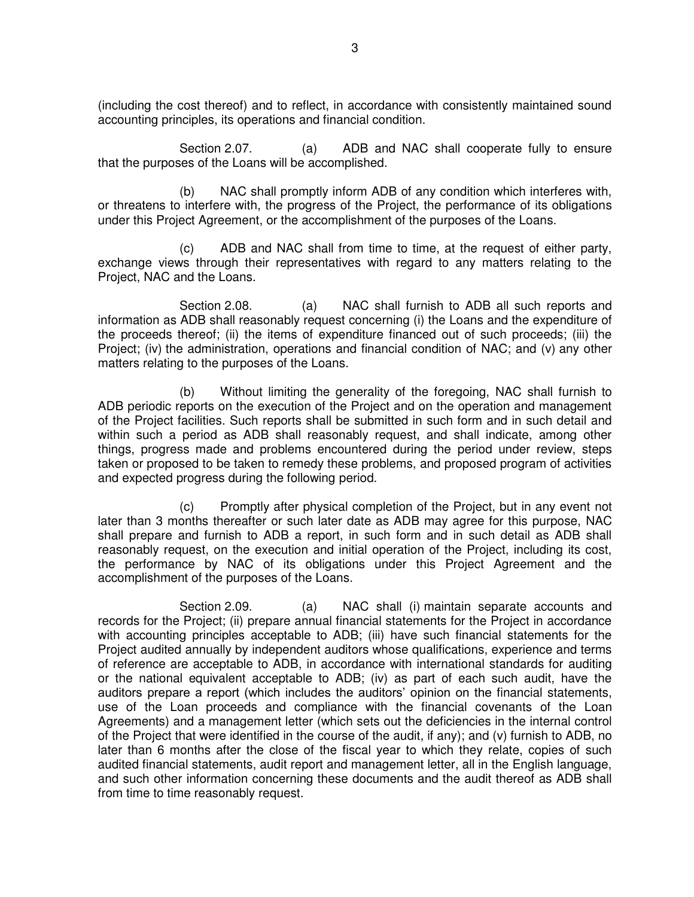(including the cost thereof) and to reflect, in accordance with consistently maintained sound accounting principles, its operations and financial condition.

Section 2.07. (a) ADB and NAC shall cooperate fully to ensure that the purposes of the Loans will be accomplished.

 (b) NAC shall promptly inform ADB of any condition which interferes with, or threatens to interfere with, the progress of the Project, the performance of its obligations under this Project Agreement, or the accomplishment of the purposes of the Loans.

 (c) ADB and NAC shall from time to time, at the request of either party, exchange views through their representatives with regard to any matters relating to the Project, NAC and the Loans.

Section 2.08. (a) NAC shall furnish to ADB all such reports and information as ADB shall reasonably request concerning (i) the Loans and the expenditure of the proceeds thereof; (ii) the items of expenditure financed out of such proceeds; (iii) the Project; (iv) the administration, operations and financial condition of NAC; and (v) any other matters relating to the purposes of the Loans.

 (b) Without limiting the generality of the foregoing, NAC shall furnish to ADB periodic reports on the execution of the Project and on the operation and management of the Project facilities. Such reports shall be submitted in such form and in such detail and within such a period as ADB shall reasonably request, and shall indicate, among other things, progress made and problems encountered during the period under review, steps taken or proposed to be taken to remedy these problems, and proposed program of activities and expected progress during the following period.

 (c) Promptly after physical completion of the Project, but in any event not later than 3 months thereafter or such later date as ADB may agree for this purpose, NAC shall prepare and furnish to ADB a report, in such form and in such detail as ADB shall reasonably request, on the execution and initial operation of the Project, including its cost, the performance by NAC of its obligations under this Project Agreement and the accomplishment of the purposes of the Loans.

Section 2.09. (a) NAC shall (i) maintain separate accounts and records for the Project; (ii) prepare annual financial statements for the Project in accordance with accounting principles acceptable to ADB; (iii) have such financial statements for the Project audited annually by independent auditors whose qualifications, experience and terms of reference are acceptable to ADB, in accordance with international standards for auditing or the national equivalent acceptable to ADB; (iv) as part of each such audit, have the auditors prepare a report (which includes the auditors' opinion on the financial statements, use of the Loan proceeds and compliance with the financial covenants of the Loan Agreements) and a management letter (which sets out the deficiencies in the internal control of the Project that were identified in the course of the audit, if any); and (v) furnish to ADB, no later than 6 months after the close of the fiscal year to which they relate, copies of such audited financial statements, audit report and management letter, all in the English language, and such other information concerning these documents and the audit thereof as ADB shall from time to time reasonably request.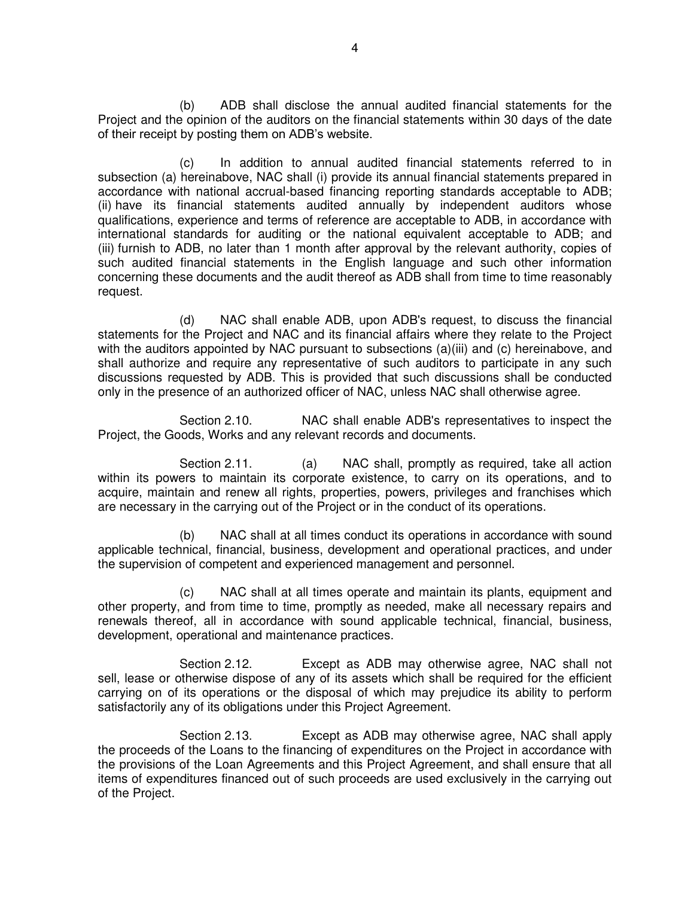(b) ADB shall disclose the annual audited financial statements for the Project and the opinion of the auditors on the financial statements within 30 days of the date of their receipt by posting them on ADB's website.

(c) In addition to annual audited financial statements referred to in subsection (a) hereinabove, NAC shall (i) provide its annual financial statements prepared in accordance with national accrual-based financing reporting standards acceptable to ADB; (ii) have its financial statements audited annually by independent auditors whose qualifications, experience and terms of reference are acceptable to ADB, in accordance with international standards for auditing or the national equivalent acceptable to ADB; and (iii) furnish to ADB, no later than 1 month after approval by the relevant authority, copies of such audited financial statements in the English language and such other information concerning these documents and the audit thereof as ADB shall from time to time reasonably request.

 (d) NAC shall enable ADB, upon ADB's request, to discuss the financial statements for the Project and NAC and its financial affairs where they relate to the Project with the auditors appointed by NAC pursuant to subsections (a)(iii) and (c) hereinabove, and shall authorize and require any representative of such auditors to participate in any such discussions requested by ADB. This is provided that such discussions shall be conducted only in the presence of an authorized officer of NAC, unless NAC shall otherwise agree.

 Section 2.10. NAC shall enable ADB's representatives to inspect the Project, the Goods, Works and any relevant records and documents.

Section 2.11. (a) NAC shall, promptly as required, take all action within its powers to maintain its corporate existence, to carry on its operations, and to acquire, maintain and renew all rights, properties, powers, privileges and franchises which are necessary in the carrying out of the Project or in the conduct of its operations.

 (b) NAC shall at all times conduct its operations in accordance with sound applicable technical, financial, business, development and operational practices, and under the supervision of competent and experienced management and personnel.

 (c) NAC shall at all times operate and maintain its plants, equipment and other property, and from time to time, promptly as needed, make all necessary repairs and renewals thereof, all in accordance with sound applicable technical, financial, business, development, operational and maintenance practices.

 Section 2.12. Except as ADB may otherwise agree, NAC shall not sell, lease or otherwise dispose of any of its assets which shall be required for the efficient carrying on of its operations or the disposal of which may prejudice its ability to perform satisfactorily any of its obligations under this Project Agreement.

 Section 2.13. Except as ADB may otherwise agree, NAC shall apply the proceeds of the Loans to the financing of expenditures on the Project in accordance with the provisions of the Loan Agreements and this Project Agreement, and shall ensure that all items of expenditures financed out of such proceeds are used exclusively in the carrying out of the Project.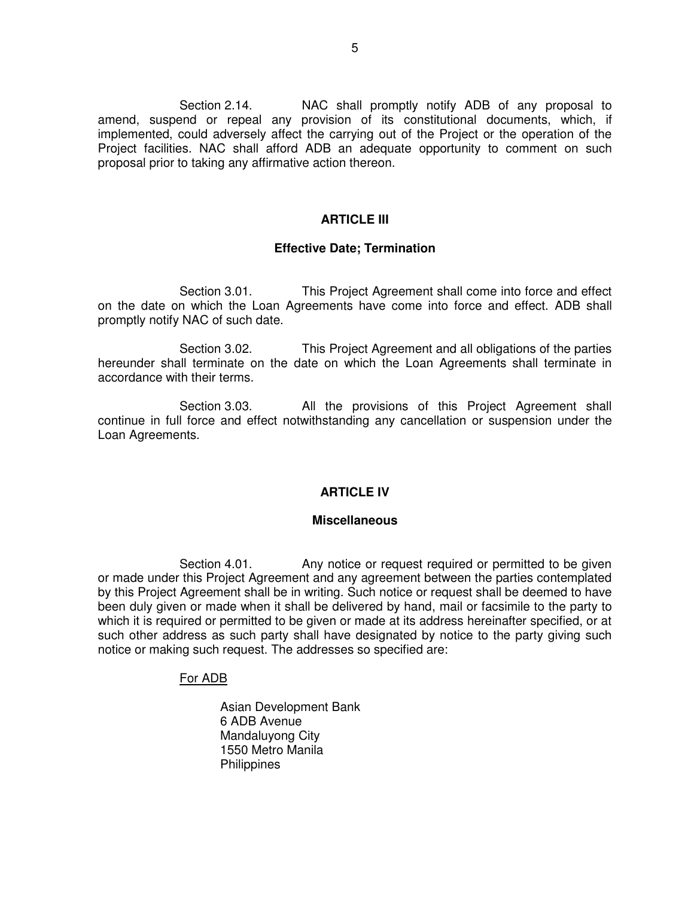Section 2.14. NAC shall promptly notify ADB of any proposal to amend, suspend or repeal any provision of its constitutional documents, which, if implemented, could adversely affect the carrying out of the Project or the operation of the Project facilities. NAC shall afford ADB an adequate opportunity to comment on such proposal prior to taking any affirmative action thereon.

#### **ARTICLE III**

#### **Effective Date; Termination**

Section 3.01. This Project Agreement shall come into force and effect on the date on which the Loan Agreements have come into force and effect. ADB shall promptly notify NAC of such date.

Section 3.02. This Project Agreement and all obligations of the parties hereunder shall terminate on the date on which the Loan Agreements shall terminate in accordance with their terms.

Section 3.03. All the provisions of this Project Agreement shall continue in full force and effect notwithstanding any cancellation or suspension under the Loan Agreements.

#### **ARTICLE IV**

#### **Miscellaneous**

Section 4.01. Any notice or request required or permitted to be given or made under this Project Agreement and any agreement between the parties contemplated by this Project Agreement shall be in writing. Such notice or request shall be deemed to have been duly given or made when it shall be delivered by hand, mail or facsimile to the party to which it is required or permitted to be given or made at its address hereinafter specified, or at such other address as such party shall have designated by notice to the party giving such notice or making such request. The addresses so specified are:

### For ADB

Asian Development Bank 6 ADB Avenue Mandaluyong City 1550 Metro Manila **Philippines**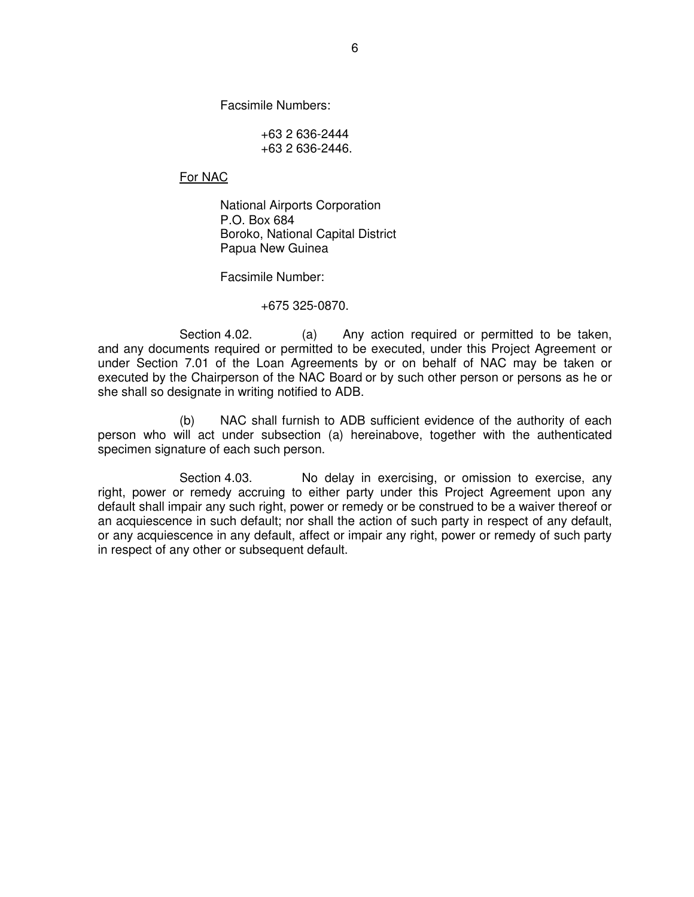Facsimile Numbers:

 +63 2 636-2444 +63 2 636-2446.

For NAC

 National Airports Corporation P.O. Box 684 Boroko, National Capital District Papua New Guinea

Facsimile Number:

+675 325-0870.

Section 4.02. (a) Any action required or permitted to be taken, and any documents required or permitted to be executed, under this Project Agreement or under Section 7.01 of the Loan Agreements by or on behalf of NAC may be taken or executed by the Chairperson of the NAC Board or by such other person or persons as he or she shall so designate in writing notified to ADB.

 (b) NAC shall furnish to ADB sufficient evidence of the authority of each person who will act under subsection (a) hereinabove, together with the authenticated specimen signature of each such person.

Section 4.03. No delay in exercising, or omission to exercise, any right, power or remedy accruing to either party under this Project Agreement upon any default shall impair any such right, power or remedy or be construed to be a waiver thereof or an acquiescence in such default; nor shall the action of such party in respect of any default, or any acquiescence in any default, affect or impair any right, power or remedy of such party in respect of any other or subsequent default.